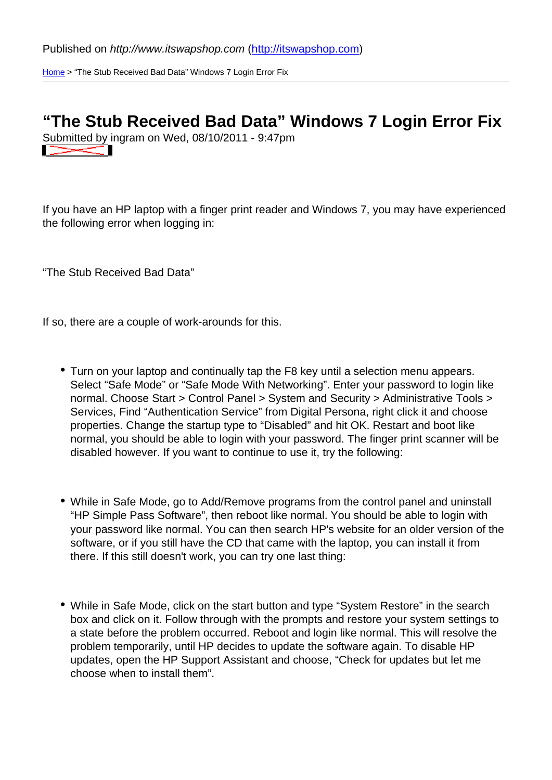Published on http://www.itswapshop.com (<u>http://itswapshop.com</u>)

Home > "The Stub Received Bad Data" Windows 7 Login Error Fix

## ["Th](http://itswapshop.com/)e Stub Received Bad Data" Windows 7 Login Error Fix

Submitted by ingram on Wed, 08/10/2011 - 9:47pm

If you have an HP laptop with a finger print reader and Windows 7, you may have experienced the following error when logging in:

"The Stub Received Bad Data"

If so, there are a couple of work-arounds for this.

- Turn on your laptop and continually tap the F8 key until a selection menu appears. Select "Safe Mode" or "Safe Mode With Networking". Enter your password to login like normal. Choose Start > Control Panel > System and Security > Administrative Tools > Services, Find "Authentication Service" from Digital Persona, right click it and choose properties. Change the startup type to "Disabled" and hit OK. Restart and boot like normal, you should be able to login with your password. The finger print scanner will be disabled however. If you want to continue to use it, try the following:
- While in Safe Mode, go to Add/Remove programs from the control panel and uninstall "HP Simple Pass Software", then reboot like normal. You should be able to login with your password like normal. You can then search HP's website for an older version of the software, or if you still have the CD that came with the laptop, you can install it from there. If this still doesn't work, you can try one last thing:
- While in Safe Mode, click on the start button and type "System Restore" in the search box and click on it. Follow through with the prompts and restore your system settings to a state before the problem occurred. Reboot and login like normal. This will resolve the problem temporarily, until HP decides to update the software again. To disable HP updates, open the HP Support Assistant and choose, "Check for updates but let me choose when to install them".